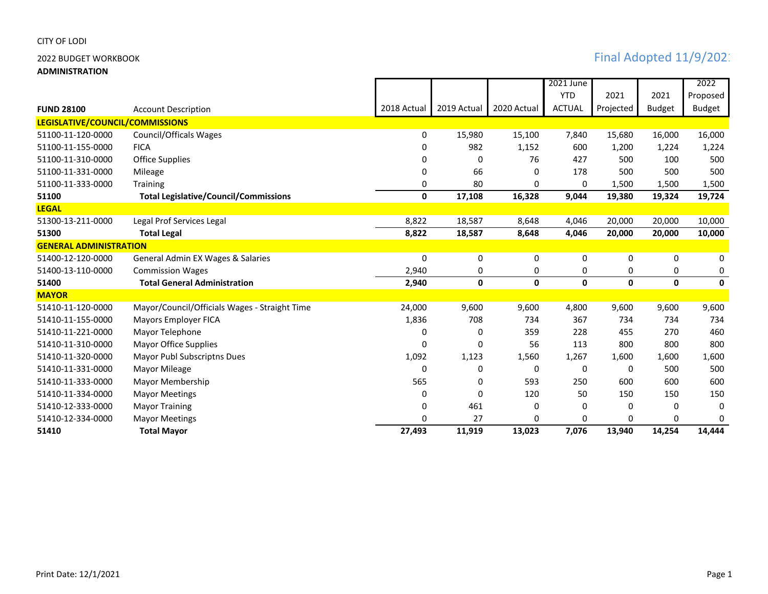**ADMINISTRATION**

|                                 |                                               |              |              |             | 2021 June     |           |               | 2022          |
|---------------------------------|-----------------------------------------------|--------------|--------------|-------------|---------------|-----------|---------------|---------------|
|                                 |                                               |              |              |             | <b>YTD</b>    | 2021      | 2021          | Proposed      |
| <b>FUND 28100</b>               | <b>Account Description</b>                    | 2018 Actual  | 2019 Actual  | 2020 Actual | <b>ACTUAL</b> | Projected | <b>Budget</b> | <b>Budget</b> |
| LEGISLATIVE/COUNCIL/COMMISSIONS |                                               |              |              |             |               |           |               |               |
| 51100-11-120-0000               | <b>Council/Officals Wages</b>                 | 0            | 15,980       | 15,100      | 7,840         | 15,680    | 16,000        | 16,000        |
| 51100-11-155-0000               | <b>FICA</b>                                   | 0            | 982          | 1,152       | 600           | 1,200     | 1,224         | 1,224         |
| 51100-11-310-0000               | <b>Office Supplies</b>                        | 0            | 0            | 76          | 427           | 500       | 100           | 500           |
| 51100-11-331-0000               | Mileage                                       | 0            | 66           | $\Omega$    | 178           | 500       | 500           | 500           |
| 51100-11-333-0000               | Training                                      | 0            | 80           | 0           | 0             | 1,500     | 1,500         | 1,500         |
| 51100                           | <b>Total Legislative/Council/Commissions</b>  | 0            | 17,108       | 16,328      | 9,044         | 19,380    | 19,324        | 19,724        |
| <b>LEGAL</b>                    |                                               |              |              |             |               |           |               |               |
| 51300-13-211-0000               | Legal Prof Services Legal                     | 8,822        | 18,587       | 8,648       | 4,046         | 20,000    | 20,000        | 10,000        |
| 51300                           | <b>Total Legal</b>                            | 8,822        | 18,587       | 8,648       | 4,046         | 20,000    | 20,000        | 10,000        |
| <b>GENERAL ADMINISTRATION</b>   |                                               |              |              |             |               |           |               |               |
| 51400-12-120-0000               | General Admin EX Wages & Salaries             | 0            | 0            | 0           | 0             | 0         | 0             | 0             |
| 51400-13-110-0000               | <b>Commission Wages</b>                       | 2,940        | 0            | 0           | 0             | 0         | 0             | 0             |
| 51400                           | <b>Total General Administration</b>           | 2,940        | $\mathbf{0}$ | 0           | $\mathbf{0}$  | 0         | 0             | $\mathbf{0}$  |
| <b>MAYOR</b>                    |                                               |              |              |             |               |           |               |               |
| 51410-11-120-0000               | Mayor/Council/Officials Wages - Straight Time | 24,000       | 9,600        | 9,600       | 4,800         | 9,600     | 9,600         | 9,600         |
| 51410-11-155-0000               | <b>Mayors Employer FICA</b>                   | 1,836        | 708          | 734         | 367           | 734       | 734           | 734           |
| 51410-11-221-0000               | Mayor Telephone                               | 0            | 0            | 359         | 228           | 455       | 270           | 460           |
| 51410-11-310-0000               | <b>Mayor Office Supplies</b>                  | 0            | 0            | 56          | 113           | 800       | 800           | 800           |
| 51410-11-320-0000               | Mayor Publ Subscriptns Dues                   | 1,092        | 1,123        | 1,560       | 1,267         | 1,600     | 1,600         | 1,600         |
| 51410-11-331-0000               | Mayor Mileage                                 | $\mathbf{0}$ | 0            | 0           | 0             | 0         | 500           | 500           |
| 51410-11-333-0000               | Mayor Membership                              | 565          | 0            | 593         | 250           | 600       | 600           | 600           |
| 51410-11-334-0000               | <b>Mayor Meetings</b>                         | 0            | 0            | 120         | 50            | 150       | 150           | 150           |
| 51410-12-333-0000               | <b>Mayor Training</b>                         | 0            | 461          | 0           | 0             | 0         | 0             | 0             |
| 51410-12-334-0000               | <b>Mayor Meetings</b>                         | U            | 27           | U           | 0             | 0         | 0             | 0             |
| 51410                           | <b>Total Mayor</b>                            | 27,493       | 11,919       | 13,023      | 7,076         | 13,940    | 14,254        | 14,444        |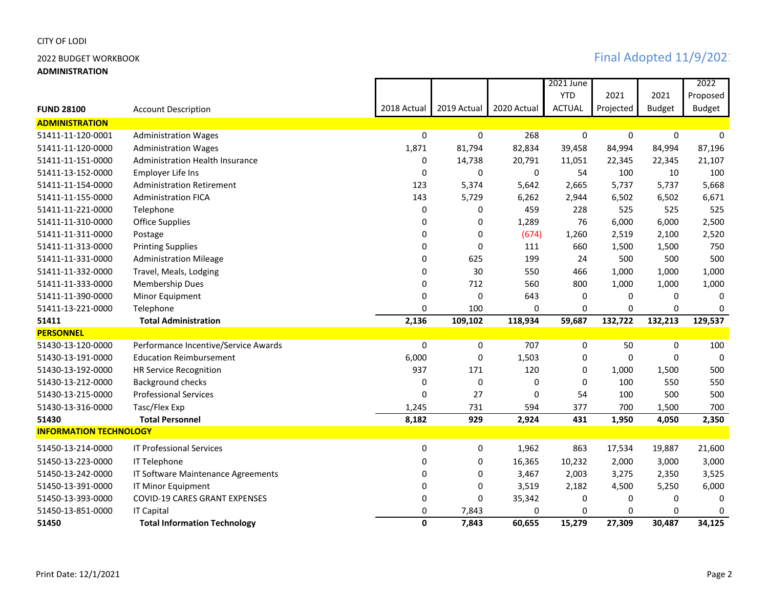**ADMINISTRATION**

|                               |                                        |              |              |             | 2021 June     |           |               | 2022          |
|-------------------------------|----------------------------------------|--------------|--------------|-------------|---------------|-----------|---------------|---------------|
|                               |                                        |              |              |             | <b>YTD</b>    | 2021      | 2021          | Proposed      |
| <b>FUND 28100</b>             | <b>Account Description</b>             | 2018 Actual  | 2019 Actual  | 2020 Actual | <b>ACTUAL</b> | Projected | <b>Budget</b> | <b>Budget</b> |
| <b>ADMINISTRATION</b>         |                                        |              |              |             |               |           |               |               |
| 51411-11-120-0001             | <b>Administration Wages</b>            | $\Omega$     | $\mathbf{0}$ | 268         | 0             | $\Omega$  | $\mathbf{0}$  | $\Omega$      |
| 51411-11-120-0000             | <b>Administration Wages</b>            | 1,871        | 81,794       | 82,834      | 39,458        | 84,994    | 84,994        | 87,196        |
| 51411-11-151-0000             | <b>Administration Health Insurance</b> | 0            | 14,738       | 20,791      | 11,051        | 22,345    | 22,345        | 21,107        |
| 51411-13-152-0000             | <b>Employer Life Ins</b>               | $\Omega$     | 0            | 0           | 54            | 100       | 10            | 100           |
| 51411-11-154-0000             | <b>Administration Retirement</b>       | 123          | 5,374        | 5,642       | 2,665         | 5,737     | 5,737         | 5,668         |
| 51411-11-155-0000             | <b>Administration FICA</b>             | 143          | 5,729        | 6,262       | 2,944         | 6,502     | 6,502         | 6,671         |
| 51411-11-221-0000             | Telephone                              | 0            | 0            | 459         | 228           | 525       | 525           | 525           |
| 51411-11-310-0000             | <b>Office Supplies</b>                 | 0            | 0            | 1,289       | 76            | 6,000     | 6,000         | 2,500         |
| 51411-11-311-0000             | Postage                                | 0            | 0            | (674)       | 1,260         | 2,519     | 2,100         | 2,520         |
| 51411-11-313-0000             | <b>Printing Supplies</b>               | 0            | 0            | 111         | 660           | 1,500     | 1,500         | 750           |
| 51411-11-331-0000             | <b>Administration Mileage</b>          | 0            | 625          | 199         | 24            | 500       | 500           | 500           |
| 51411-11-332-0000             | Travel, Meals, Lodging                 | 0            | 30           | 550         | 466           | 1,000     | 1,000         | 1,000         |
| 51411-11-333-0000             | Membership Dues                        | 0            | 712          | 560         | 800           | 1,000     | 1,000         | 1,000         |
| 51411-11-390-0000             | Minor Equipment                        | 0            | 0            | 643         | 0             | 0         | 0             | $\Omega$      |
| 51411-13-221-0000             | Telephone                              | 0            | 100          | 0           | 0             | 0         | 0             | $\mathbf{0}$  |
| 51411                         | <b>Total Administration</b>            | 2,136        | 109,102      | 118,934     | 59,687        | 132,722   | 132,213       | 129,537       |
| <b>PERSONNEL</b>              |                                        |              |              |             |               |           |               |               |
| 51430-13-120-0000             | Performance Incentive/Service Awards   | 0            | 0            | 707         | 0             | 50        | 0             | 100           |
| 51430-13-191-0000             | <b>Education Reimbursement</b>         | 6,000        | 0            | 1,503       | 0             | 0         | 0             | 0             |
| 51430-13-192-0000             | <b>HR Service Recognition</b>          | 937          | 171          | 120         | 0             | 1,000     | 1,500         | 500           |
| 51430-13-212-0000             | <b>Background checks</b>               | 0            | 0            | 0           | $\Omega$      | 100       | 550           | 550           |
| 51430-13-215-0000             | <b>Professional Services</b>           | 0            | 27           | 0           | 54            | 100       | 500           | 500           |
| 51430-13-316-0000             | Tasc/Flex Exp                          | 1,245        | 731          | 594         | 377           | 700       | 1,500         | 700           |
| 51430                         | <b>Total Personnel</b>                 | 8,182        | 929          | 2,924       | 431           | 1,950     | 4,050         | 2,350         |
| <b>INFORMATION TECHNOLOGY</b> |                                        |              |              |             |               |           |               |               |
| 51450-13-214-0000             | <b>IT Professional Services</b>        | 0            | 0            | 1,962       | 863           | 17,534    | 19,887        | 21,600        |
| 51450-13-223-0000             | IT Telephone                           | 0            | 0            | 16,365      | 10,232        | 2,000     | 3,000         | 3,000         |
| 51450-13-242-0000             | IT Software Maintenance Agreements     | 0            | 0            | 3,467       | 2,003         | 3,275     | 2,350         | 3,525         |
| 51450-13-391-0000             | IT Minor Equipment                     | 0            | 0            | 3,519       | 2,182         | 4,500     | 5,250         | 6,000         |
| 51450-13-393-0000             | <b>COVID-19 CARES GRANT EXPENSES</b>   | 0            | 0            | 35,342      | 0             | 0         | 0             | 0             |
| 51450-13-851-0000             | <b>IT Capital</b>                      | 0            | 7,843        | 0           | 0             | 0         | 0             | 0             |
| 51450                         | <b>Total Information Technology</b>    | $\mathbf{0}$ | 7,843        | 60,655      | 15,279        | 27,309    | 30,487        | 34,125        |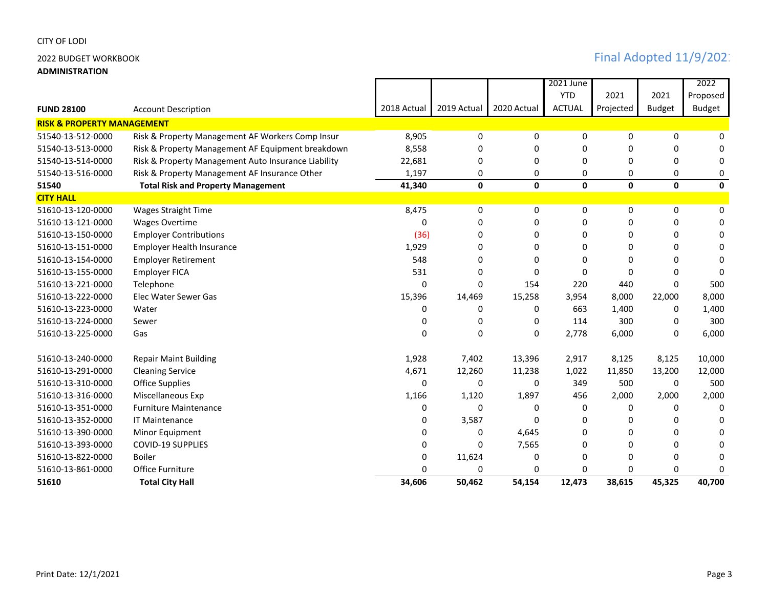**ADMINISTRATION**

|                                       |                                                     |              |             |              | 2021 June     |           |               | 2022          |  |  |  |
|---------------------------------------|-----------------------------------------------------|--------------|-------------|--------------|---------------|-----------|---------------|---------------|--|--|--|
|                                       |                                                     |              |             |              | <b>YTD</b>    | 2021      | 2021          | Proposed      |  |  |  |
| <b>FUND 28100</b>                     | <b>Account Description</b>                          | 2018 Actual  | 2019 Actual | 2020 Actual  | <b>ACTUAL</b> | Projected | <b>Budget</b> | <b>Budget</b> |  |  |  |
| <b>RISK &amp; PROPERTY MANAGEMENT</b> |                                                     |              |             |              |               |           |               |               |  |  |  |
| 51540-13-512-0000                     | Risk & Property Management AF Workers Comp Insur    | 8,905        | 0           | 0            | 0             | 0         | 0             | 0             |  |  |  |
| 51540-13-513-0000                     | Risk & Property Management AF Equipment breakdown   | 8,558        | 0           | 0            | 0             | 0         | 0             | $\Omega$      |  |  |  |
| 51540-13-514-0000                     | Risk & Property Management Auto Insurance Liability | 22,681       | 0           | 0            | $\Omega$      | 0         | 0             | 0             |  |  |  |
| 51540-13-516-0000                     | Risk & Property Management AF Insurance Other       | 1,197        | 0           | 0            | 0             | 0         | 0             | 0             |  |  |  |
| 51540                                 | <b>Total Risk and Property Management</b>           | 41,340       | 0           | $\mathbf 0$  | 0             | 0         | $\mathbf 0$   | $\mathbf 0$   |  |  |  |
| <b>CITY HALL</b>                      |                                                     |              |             |              |               |           |               |               |  |  |  |
| 51610-13-120-0000                     | <b>Wages Straight Time</b>                          | 8,475        | 0           | 0            | 0             | 0         | 0             | 0             |  |  |  |
| 51610-13-121-0000                     | <b>Wages Overtime</b>                               | $\Omega$     | 0           | 0            | 0             | 0         | 0             | 0             |  |  |  |
| 51610-13-150-0000                     | <b>Employer Contributions</b>                       | (36)         | 0           | 0            | $\Omega$      | 0         | 0             | 0             |  |  |  |
| 51610-13-151-0000                     | <b>Employer Health Insurance</b>                    | 1,929        | 0           | 0            | 0             | 0         | 0             | 0             |  |  |  |
| 51610-13-154-0000                     | <b>Employer Retirement</b>                          | 548          | 0           | 0            | $\Omega$      | $\Omega$  | 0             | $\Omega$      |  |  |  |
| 51610-13-155-0000                     | <b>Employer FICA</b>                                | 531          | $\Omega$    | $\Omega$     | $\Omega$      | $\Omega$  | $\Omega$      | $\Omega$      |  |  |  |
| 51610-13-221-0000                     | Telephone                                           | <sup>0</sup> | $\Omega$    | 154          | 220           | 440       | $\Omega$      | 500           |  |  |  |
| 51610-13-222-0000                     | Elec Water Sewer Gas                                | 15,396       | 14,469      | 15,258       | 3,954         | 8,000     | 22,000        | 8,000         |  |  |  |
| 51610-13-223-0000                     | Water                                               | 0            | 0           | 0            | 663           | 1,400     | 0             | 1,400         |  |  |  |
| 51610-13-224-0000                     | Sewer                                               | 0            | $\Omega$    | $\mathbf{0}$ | 114           | 300       | 0             | 300           |  |  |  |
| 51610-13-225-0000                     | Gas                                                 | $\Omega$     | $\Omega$    | 0            | 2,778         | 6,000     | 0             | 6,000         |  |  |  |
| 51610-13-240-0000                     | <b>Repair Maint Building</b>                        | 1,928        | 7,402       | 13,396       | 2,917         | 8,125     | 8,125         | 10,000        |  |  |  |
| 51610-13-291-0000                     | <b>Cleaning Service</b>                             | 4,671        | 12,260      | 11,238       | 1,022         | 11,850    | 13,200        | 12,000        |  |  |  |
| 51610-13-310-0000                     | <b>Office Supplies</b>                              | $\Omega$     | 0           | 0            | 349           | 500       | 0             | 500           |  |  |  |
| 51610-13-316-0000                     | Miscellaneous Exp                                   | 1,166        | 1,120       | 1,897        | 456           | 2,000     | 2,000         | 2,000         |  |  |  |
| 51610-13-351-0000                     | <b>Furniture Maintenance</b>                        | 0            | 0           | 0            | 0             | 0         | 0             | 0             |  |  |  |
| 51610-13-352-0000                     | <b>IT Maintenance</b>                               | <sup>0</sup> | 3,587       | $\Omega$     | $\Omega$      | $\Omega$  | 0             | <sup>0</sup>  |  |  |  |
| 51610-13-390-0000                     | Minor Equipment                                     | <sup>0</sup> | 0           | 4,645        | $\Omega$      | $\Omega$  | 0             | 0             |  |  |  |
| 51610-13-393-0000                     | <b>COVID-19 SUPPLIES</b>                            |              | $\Omega$    | 7,565        | 0             | $\Omega$  | 0             | 0             |  |  |  |
| 51610-13-822-0000                     | <b>Boiler</b>                                       | 0            | 11,624      | 0            | 0             | 0         | 0             | 0             |  |  |  |
| 51610-13-861-0000                     | <b>Office Furniture</b>                             |              | n           | 0            | 0             | 0         | 0             | <sup>0</sup>  |  |  |  |
| 51610                                 | <b>Total City Hall</b>                              | 34,606       | 50,462      | 54,154       | 12,473        | 38,615    | 45,325        | 40,700        |  |  |  |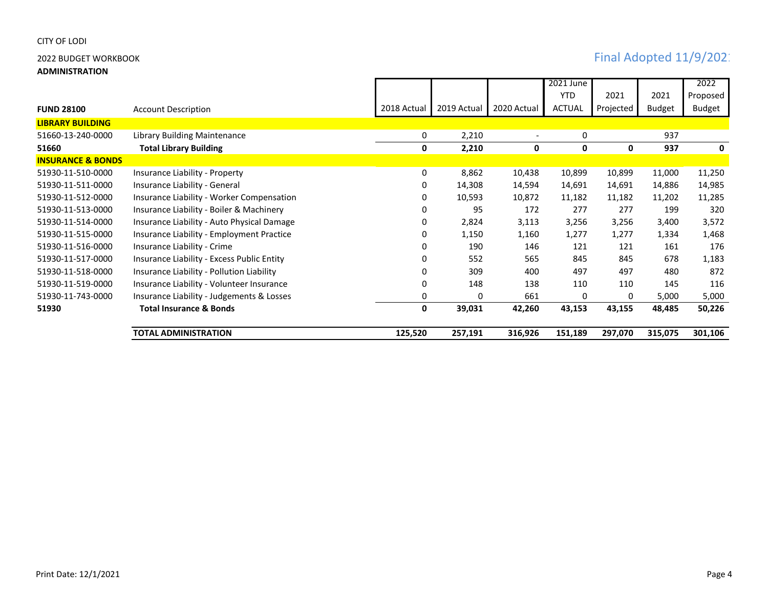**ADMINISTRATION**

|                              |                                            |             |             |             | 2021 June     |           |               | 2022          |
|------------------------------|--------------------------------------------|-------------|-------------|-------------|---------------|-----------|---------------|---------------|
|                              |                                            |             |             |             | <b>YTD</b>    | 2021      | 2021          | Proposed      |
| <b>FUND 28100</b>            | <b>Account Description</b>                 | 2018 Actual | 2019 Actual | 2020 Actual | <b>ACTUAL</b> | Projected | <b>Budget</b> | <b>Budget</b> |
| <b>LIBRARY BUILDING</b>      |                                            |             |             |             |               |           |               |               |
| 51660-13-240-0000            | Library Building Maintenance               | 0           | 2,210       |             | 0             |           | 937           |               |
| 51660                        | <b>Total Library Building</b>              | 0           | 2,210       | 0           | 0             | 0         | 937           | 0             |
| <b>INSURANCE &amp; BONDS</b> |                                            |             |             |             |               |           |               |               |
| 51930-11-510-0000            | Insurance Liability - Property             | 0           | 8,862       | 10,438      | 10,899        | 10,899    | 11,000        | 11,250        |
| 51930-11-511-0000            | Insurance Liability - General              | 0           | 14,308      | 14,594      | 14,691        | 14,691    | 14,886        | 14,985        |
| 51930-11-512-0000            | Insurance Liability - Worker Compensation  | 0           | 10,593      | 10,872      | 11,182        | 11,182    | 11,202        | 11,285        |
| 51930-11-513-0000            | Insurance Liability - Boiler & Machinery   | 0           | 95          | 172         | 277           | 277       | 199           | 320           |
| 51930-11-514-0000            | Insurance Liability - Auto Physical Damage | 0           | 2,824       | 3,113       | 3,256         | 3,256     | 3,400         | 3,572         |
| 51930-11-515-0000            | Insurance Liability - Employment Practice  | 0           | 1,150       | 1,160       | 1,277         | 1,277     | 1,334         | 1,468         |
| 51930-11-516-0000            | Insurance Liability - Crime                | 0           | 190         | 146         | 121           | 121       | 161           | 176           |
| 51930-11-517-0000            | Insurance Liability - Excess Public Entity | 0           | 552         | 565         | 845           | 845       | 678           | 1,183         |
| 51930-11-518-0000            | Insurance Liability - Pollution Liability  | 0           | 309         | 400         | 497           | 497       | 480           | 872           |
| 51930-11-519-0000            | Insurance Liability - Volunteer Insurance  | 0           | 148         | 138         | 110           | 110       | 145           | 116           |
| 51930-11-743-0000            | Insurance Liability - Judgements & Losses  | 0           | 0           | 661         | 0             | 0         | 5,000         | 5,000         |
| 51930                        | <b>Total Insurance &amp; Bonds</b>         | 0           | 39,031      | 42,260      | 43,153        | 43,155    | 48,485        | 50,226        |
|                              | <b>TOTAL ADMINISTRATION</b>                | 125,520     | 257,191     | 316,926     | 151,189       | 297,070   | 315,075       | 301,106       |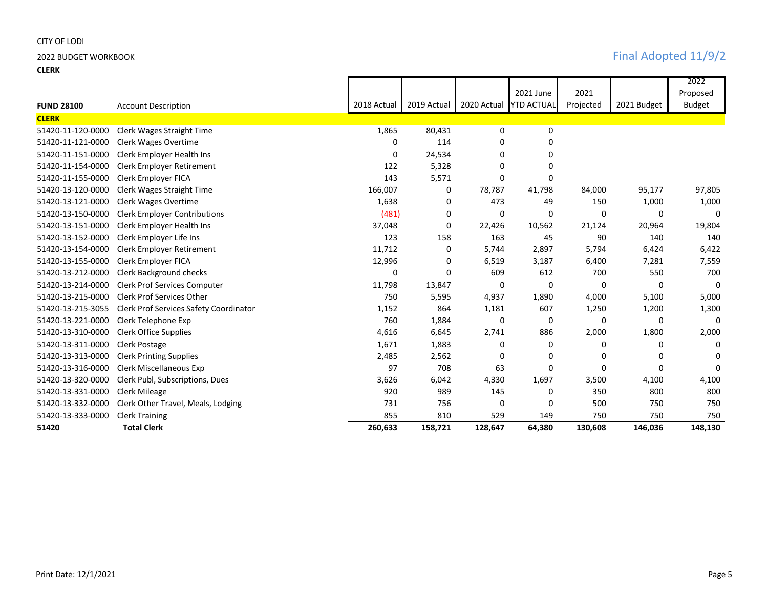**CLERK**

# 2022 BUDGET WORKBOOK **Final Adopted 11/9/2**

|                   |                                        |             |             |             |                   |           |              | 2022          |
|-------------------|----------------------------------------|-------------|-------------|-------------|-------------------|-----------|--------------|---------------|
|                   |                                        |             |             |             | 2021 June         | 2021      |              | Proposed      |
| <b>FUND 28100</b> | <b>Account Description</b>             | 2018 Actual | 2019 Actual | 2020 Actual | <b>YTD ACTUAL</b> | Projected | 2021 Budget  | <b>Budget</b> |
| <b>CLERK</b>      |                                        |             |             |             |                   |           |              |               |
| 51420-11-120-0000 | Clerk Wages Straight Time              | 1,865       | 80,431      | 0           | 0                 |           |              |               |
| 51420-11-121-0000 | Clerk Wages Overtime                   | 0           | 114         | 0           | 0                 |           |              |               |
| 51420-11-151-0000 | Clerk Employer Health Ins              | 0           | 24,534      | 0           | 0                 |           |              |               |
| 51420-11-154-0000 | <b>Clerk Employer Retirement</b>       | 122         | 5,328       | $\Omega$    | 0                 |           |              |               |
| 51420-11-155-0000 | Clerk Employer FICA                    | 143         | 5,571       | $\Omega$    | 0                 |           |              |               |
| 51420-13-120-0000 | Clerk Wages Straight Time              | 166,007     | 0           | 78,787      | 41,798            | 84,000    | 95,177       | 97,805        |
| 51420-13-121-0000 | Clerk Wages Overtime                   | 1,638       | 0           | 473         | 49                | 150       | 1,000        | 1,000         |
| 51420-13-150-0000 | <b>Clerk Employer Contributions</b>    | (481)       | 0           | 0           | $\Omega$          | $\Omega$  | $\mathbf{0}$ | 0             |
| 51420-13-151-0000 | Clerk Employer Health Ins              | 37,048      | 0           | 22,426      | 10,562            | 21,124    | 20,964       | 19,804        |
| 51420-13-152-0000 | Clerk Employer Life Ins                | 123         | 158         | 163         | 45                | 90        | 140          | 140           |
| 51420-13-154-0000 | <b>Clerk Employer Retirement</b>       | 11,712      | 0           | 5,744       | 2,897             | 5,794     | 6,424        | 6,422         |
| 51420-13-155-0000 | Clerk Employer FICA                    | 12,996      | 0           | 6,519       | 3,187             | 6,400     | 7,281        | 7,559         |
| 51420-13-212-0000 | Clerk Background checks                | 0           | $\Omega$    | 609         | 612               | 700       | 550          | 700           |
| 51420-13-214-0000 | <b>Clerk Prof Services Computer</b>    | 11,798      | 13,847      | 0           | 0                 | 0         | 0            | $\Omega$      |
| 51420-13-215-0000 | <b>Clerk Prof Services Other</b>       | 750         | 5,595       | 4,937       | 1,890             | 4,000     | 5,100        | 5,000         |
| 51420-13-215-3055 | Clerk Prof Services Safety Coordinator | 1,152       | 864         | 1,181       | 607               | 1,250     | 1,200        | 1,300         |
| 51420-13-221-0000 | Clerk Telephone Exp                    | 760         | 1,884       | 0           | 0                 | 0         | $\mathbf{0}$ | $\Omega$      |
| 51420-13-310-0000 | Clerk Office Supplies                  | 4,616       | 6,645       | 2,741       | 886               | 2,000     | 1,800        | 2,000         |
| 51420-13-311-0000 | Clerk Postage                          | 1,671       | 1,883       | 0           | 0                 | 0         | 0            | 0             |
| 51420-13-313-0000 | <b>Clerk Printing Supplies</b>         | 2,485       | 2,562       | 0           | 0                 | 0         | 0            | O             |
| 51420-13-316-0000 | <b>Clerk Miscellaneous Exp</b>         | 97          | 708         | 63          | 0                 | $\Omega$  | $\Omega$     | O             |
| 51420-13-320-0000 | Clerk Publ, Subscriptions, Dues        | 3,626       | 6,042       | 4,330       | 1,697             | 3,500     | 4,100        | 4,100         |
| 51420-13-331-0000 | <b>Clerk Mileage</b>                   | 920         | 989         | 145         | 0                 | 350       | 800          | 800           |
| 51420-13-332-0000 | Clerk Other Travel, Meals, Lodging     | 731         | 756         | 0           | 0                 | 500       | 750          | 750           |
| 51420-13-333-0000 | <b>Clerk Training</b>                  | 855         | 810         | 529         | 149               | 750       | 750          | 750           |
| 51420             | <b>Total Clerk</b>                     | 260,633     | 158,721     | 128,647     | 64,380            | 130,608   | 146,036      | 148,130       |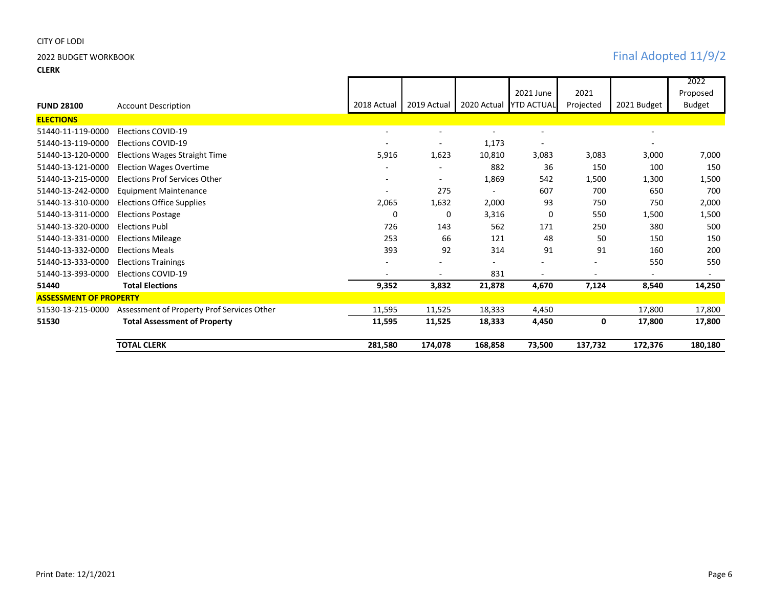### **CLERK**

# 2022 BUDGET WORKBOOK **Final Adopted 11/9/2**

|                               |                                            |             |                          |                          |                          |                          |                          | 2022          |
|-------------------------------|--------------------------------------------|-------------|--------------------------|--------------------------|--------------------------|--------------------------|--------------------------|---------------|
|                               |                                            |             |                          |                          | 2021 June                | 2021                     |                          | Proposed      |
| <b>FUND 28100</b>             | <b>Account Description</b>                 | 2018 Actual | 2019 Actual              | 2020 Actual              | <b>YTD ACTUAL</b>        | Projected                | 2021 Budget              | <b>Budget</b> |
| <b>ELECTIONS</b>              |                                            |             |                          |                          |                          |                          |                          |               |
| 51440-11-119-0000             | Elections COVID-19                         | ۰           | $\overline{\phantom{a}}$ | $\overline{\phantom{a}}$ | $\overline{\phantom{a}}$ |                          | $\overline{\phantom{a}}$ |               |
| 51440-13-119-0000             | Elections COVID-19                         |             |                          | 1,173                    | $\overline{\phantom{a}}$ |                          | $\overline{\phantom{0}}$ |               |
| 51440-13-120-0000             | Elections Wages Straight Time              | 5,916       | 1,623                    | 10,810                   | 3,083                    | 3,083                    | 3,000                    | 7,000         |
| 51440-13-121-0000             | <b>Election Wages Overtime</b>             |             |                          | 882                      | 36                       | 150                      | 100                      | 150           |
| 51440-13-215-0000             | Elections Prof Services Other              |             |                          | 1,869                    | 542                      | 1,500                    | 1,300                    | 1,500         |
| 51440-13-242-0000             | <b>Equipment Maintenance</b>               |             | 275                      | $\blacksquare$           | 607                      | 700                      | 650                      | 700           |
| 51440-13-310-0000             | <b>Elections Office Supplies</b>           | 2,065       | 1,632                    | 2,000                    | 93                       | 750                      | 750                      | 2,000         |
| 51440-13-311-0000             | <b>Elections Postage</b>                   | 0           | 0                        | 3,316                    | 0                        | 550                      | 1,500                    | 1,500         |
| 51440-13-320-0000             | <b>Elections Publ</b>                      | 726         | 143                      | 562                      | 171                      | 250                      | 380                      | 500           |
| 51440-13-331-0000             | <b>Elections Mileage</b>                   | 253         | 66                       | 121                      | 48                       | 50                       | 150                      | 150           |
| 51440-13-332-0000             | <b>Elections Meals</b>                     | 393         | 92                       | 314                      | 91                       | 91                       | 160                      | 200           |
| 51440-13-333-0000             | <b>Elections Trainings</b>                 |             |                          |                          |                          | $\overline{\phantom{a}}$ | 550                      | 550           |
| 51440-13-393-0000             | Elections COVID-19                         |             |                          | 831                      |                          |                          |                          |               |
| 51440                         | <b>Total Elections</b>                     | 9,352       | 3,832                    | 21,878                   | 4,670                    | 7,124                    | 8,540                    | 14,250        |
| <b>ASSESSMENT OF PROPERTY</b> |                                            |             |                          |                          |                          |                          |                          |               |
| 51530-13-215-0000             | Assessment of Property Prof Services Other | 11,595      | 11,525                   | 18,333                   | 4,450                    |                          | 17,800                   | 17,800        |
| 51530                         | <b>Total Assessment of Property</b>        | 11,595      | 11,525                   | 18,333                   | 4,450                    | 0                        | 17,800                   | 17,800        |
|                               | <b>TOTAL CLERK</b>                         | 281,580     | 174,078                  | 168,858                  | 73,500                   | 137,732                  | 172,376                  | 180,180       |